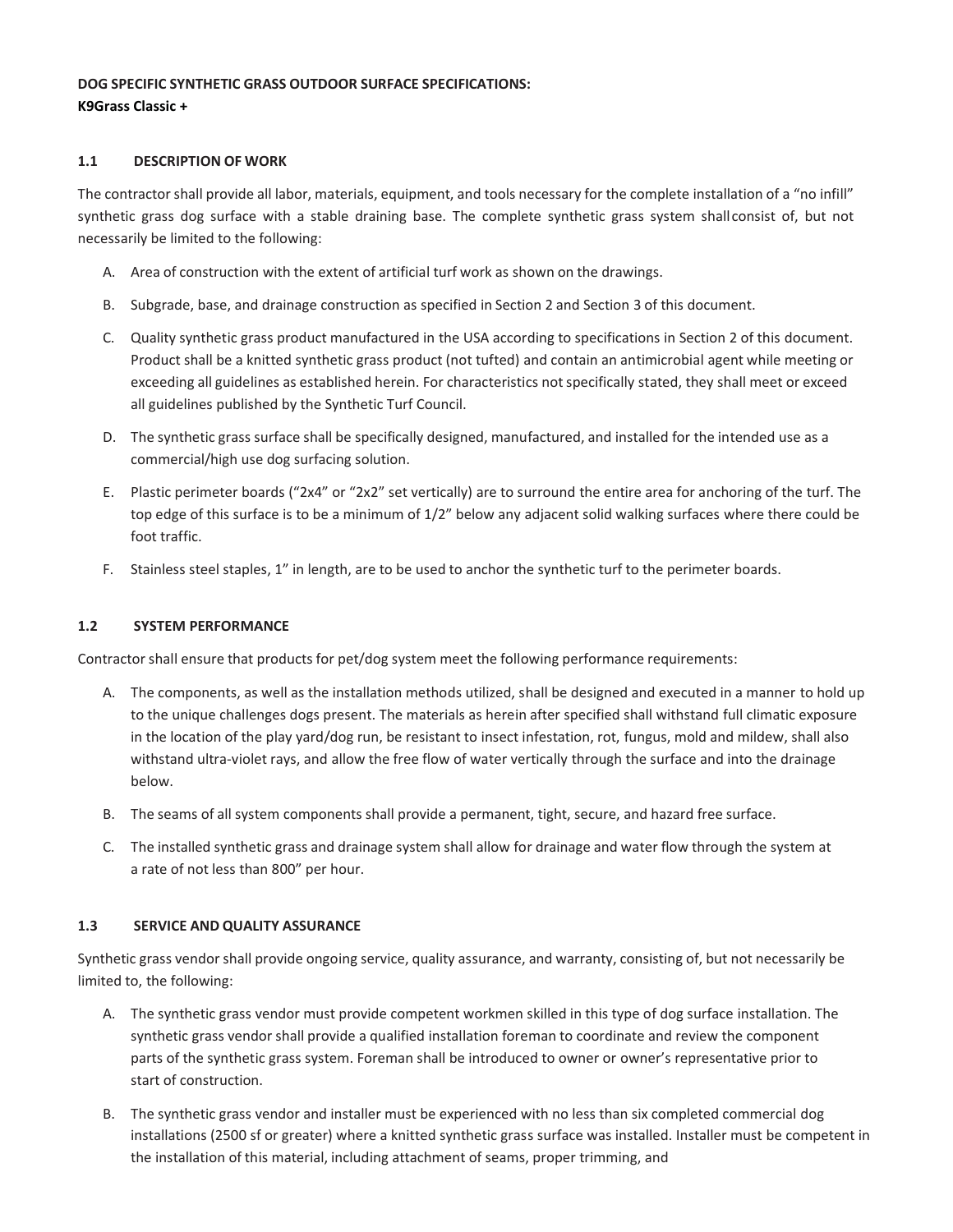# **DOG SPECIFIC SYNTHETIC GRASS OUTDOOR SURFACE SPECIFICATIONS: K9Grass Classic +**

### **1.1 DESCRIPTION OF WORK**

The contractor shall provide all labor, materials, equipment, and tools necessary for the complete installation of a "no infill" synthetic grass dog surface with a stable draining base. The complete synthetic grass system shallconsist of, but not necessarily be limited to the following:

- A. Area of construction with the extent of artificial turf work as shown on the drawings.
- B. Subgrade, base, and drainage construction as specified in Section 2 and Section 3 of this document.
- C. Quality synthetic grass product manufactured in the USA according to specifications in Section 2 of this document. Product shall be a knitted synthetic grass product (not tufted) and contain an antimicrobial agent while meeting or exceeding all guidelines as established herein. For characteristics not specifically stated, they shall meet or exceed all guidelines published by the Synthetic Turf Council.
- D. The synthetic grass surface shall be specifically designed, manufactured, and installed for the intended use as a commercial/high use dog surfacing solution.
- E. Plastic perimeter boards ("2x4" or "2x2" set vertically) are to surround the entire area for anchoring of the turf. The top edge of this surface is to be a minimum of 1/2" below any adjacent solid walking surfaces where there could be foot traffic.
- F. Stainless steel staples, 1" in length, are to be used to anchor the synthetic turf to the perimeter boards.

### **1.2 SYSTEM PERFORMANCE**

Contractor shall ensure that products for pet/dog system meet the following performance requirements:

- A. The components, as well as the installation methods utilized, shall be designed and executed in a manner to hold up to the unique challenges dogs present. The materials as herein after specified shall withstand full climatic exposure in the location of the play yard/dog run, be resistant to insect infestation, rot, fungus, mold and mildew, shall also withstand ultra-violet rays, and allow the free flow of water vertically through the surface and into the drainage below.
- B. The seams of all system components shall provide a permanent, tight, secure, and hazard free surface.
- C. The installed synthetic grass and drainage system shall allow for drainage and water flow through the system at a rate of not less than 800" per hour.

### **1.3 SERVICE AND QUALITY ASSURANCE**

Synthetic grass vendor shall provide ongoing service, quality assurance, and warranty, consisting of, but not necessarily be limited to, the following:

- A. The synthetic grass vendor must provide competent workmen skilled in this type of dog surface installation. The synthetic grass vendor shall provide a qualified installation foreman to coordinate and review the component parts of the synthetic grass system. Foreman shall be introduced to owner or owner's representative prior to start of construction.
- B. The synthetic grass vendor and installer must be experienced with no less than six completed commercial dog installations (2500 sf or greater) where a knitted synthetic grass surface was installed. Installer must be competent in the installation of this material, including attachment of seams, proper trimming, and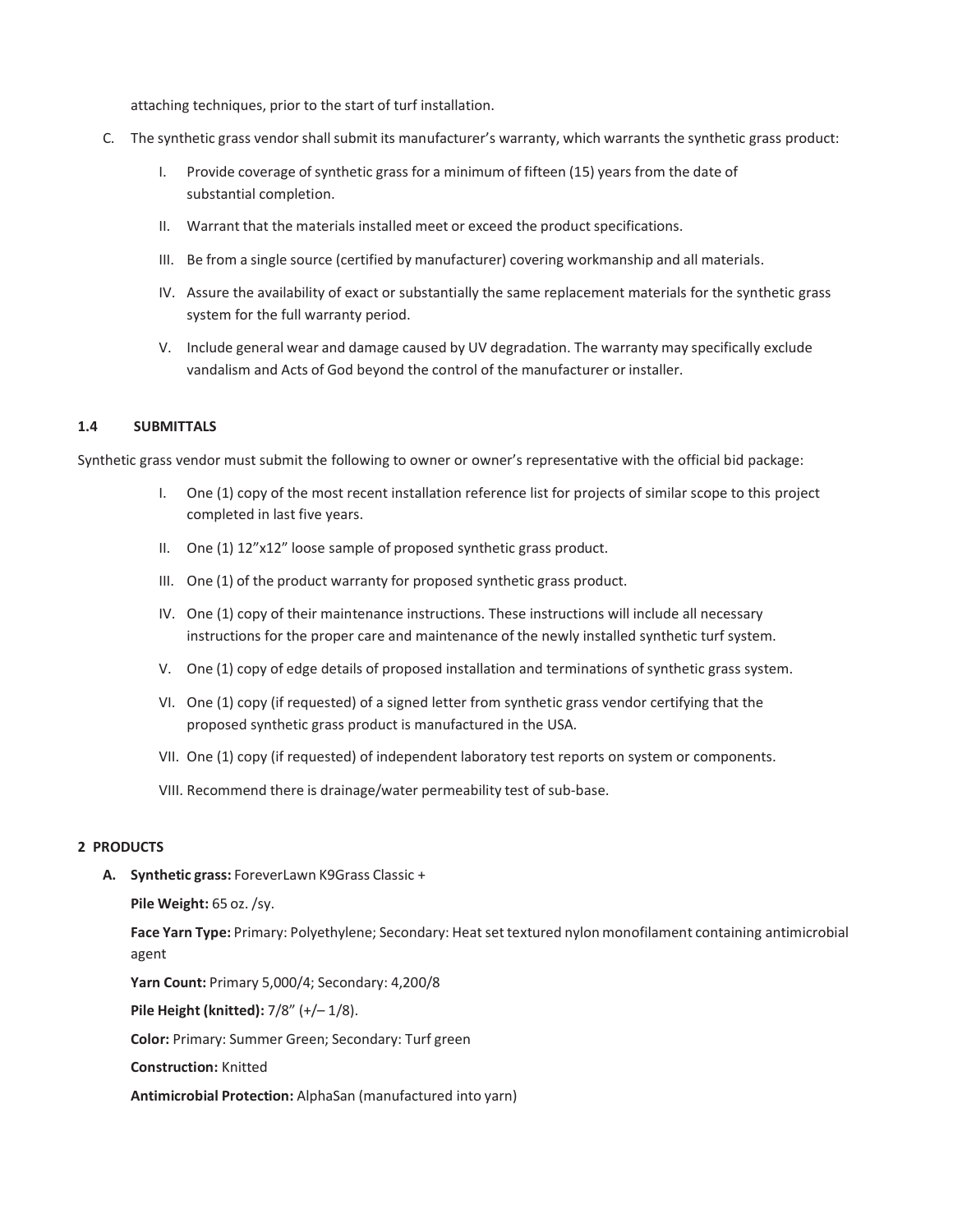attaching techniques, prior to the start of turf installation.

- C. The synthetic grass vendor shall submit its manufacturer's warranty, which warrants the synthetic grass product:
	- I. Provide coverage of synthetic grass for a minimum of fifteen (15) years from the date of substantial completion.
	- II. Warrant that the materials installed meet or exceed the product specifications.
	- III. Be from a single source (certified by manufacturer) covering workmanship and all materials.
	- IV. Assure the availability of exact or substantially the same replacement materials for the synthetic grass system for the full warranty period.
	- V. Include general wear and damage caused by UV degradation. The warranty may specifically exclude vandalism and Acts of God beyond the control of the manufacturer or installer.

### **1.4 SUBMITTALS**

Synthetic grass vendor must submit the following to owner or owner's representative with the official bid package:

- I. One (1) copy of the most recent installation reference list for projects of similar scope to this project completed in last five years.
- II. One (1) 12"x12" loose sample of proposed synthetic grass product.
- III. One (1) of the product warranty for proposed synthetic grass product.
- IV. One (1) copy of their maintenance instructions. These instructions will include all necessary instructions for the proper care and maintenance of the newly installed synthetic turf system.
- V. One (1) copy of edge details of proposed installation and terminations of synthetic grass system.
- VI. One (1) copy (if requested) of a signed letter from synthetic grass vendor certifying that the proposed synthetic grass product is manufactured in the USA.
- VII. One (1) copy (if requested) of independent laboratory test reports on system or components.
- VIII. Recommend there is drainage/water permeability test of sub-base.

### **2 PRODUCTS**

**A. Synthetic grass:** ForeverLawn K9Grass Classic +

**Pile Weight:** 65 oz. /sy.

Face Yarn Type: Primary: Polyethylene; Secondary: Heat set textured nylon monofilament containing antimicrobial agent

**Yarn Count:** Primary 5,000/4; Secondary: 4,200/8

**Pile Height (knitted):** 7/8" (+/– 1/8).

**Color:** Primary: Summer Green; Secondary: Turf green

**Construction:** Knitted

**Antimicrobial Protection:** AlphaSan (manufactured into yarn)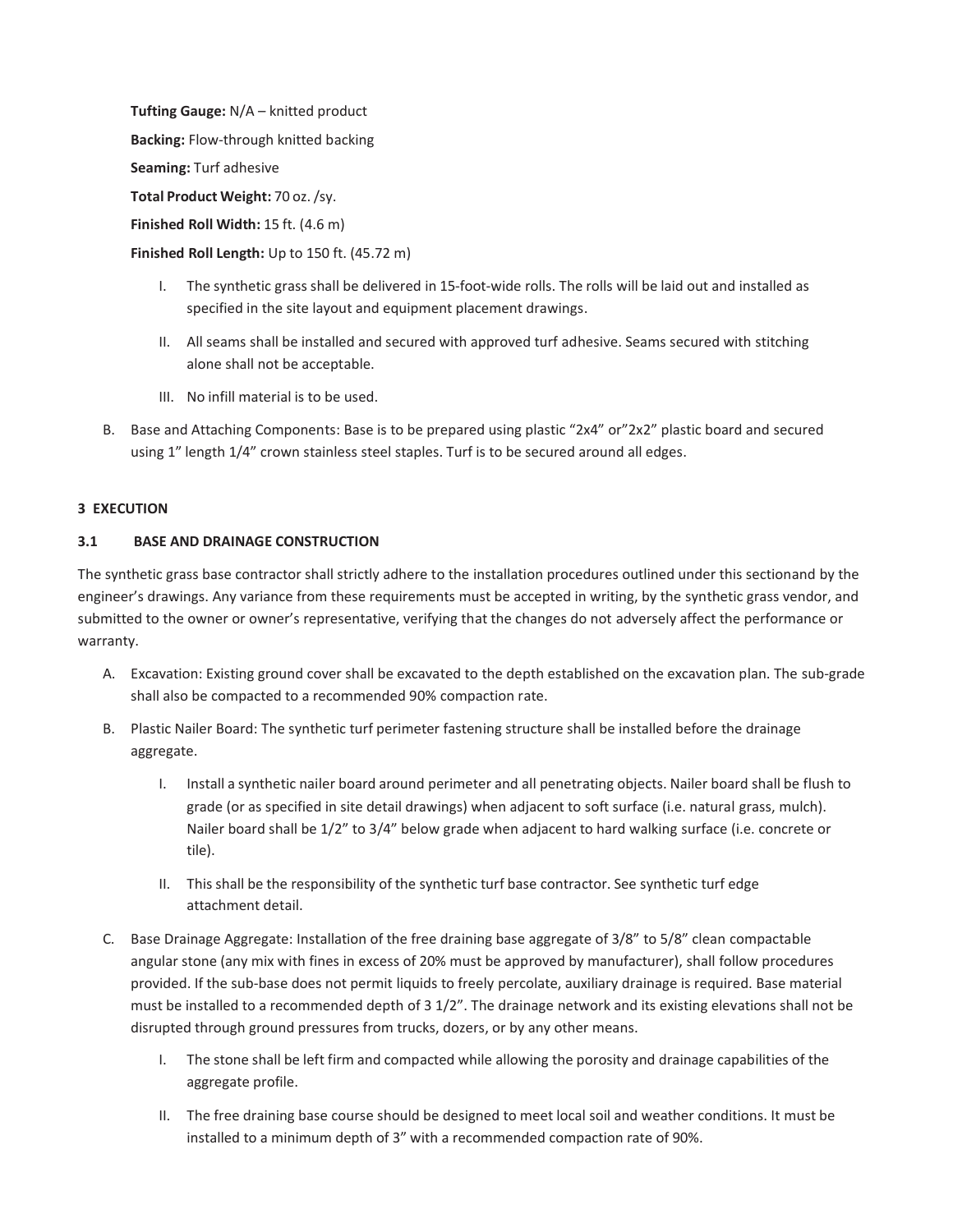**Tufting Gauge:** N/A – knitted product **Backing:** Flow-through knitted backing **Seaming:** Turf adhesive **Total Product Weight:** 70 oz./sy. **Finished Roll Width:** 15 ft. (4.6 m)

**Finished Roll Length:** Up to 150 ft. (45.72 m)

- I. The synthetic grass shall be delivered in 15-foot-wide rolls. The rolls will be laid out and installed as specified in the site layout and equipment placement drawings.
- II. All seams shall be installed and secured with approved turf adhesive. Seams secured with stitching alone shall not be acceptable.
- III. No infill material is to be used.
- B. Base and Attaching Components: Base is to be prepared using plastic "2x4" or"2x2" plastic board and secured using 1" length 1/4" crown stainless steel staples. Turf is to be secured around all edges.

#### **3 EXECUTION**

### **3.1 BASE AND DRAINAGE CONSTRUCTION**

The synthetic grass base contractor shall strictly adhere to the installation procedures outlined under this sectionand by the engineer's drawings. Any variance from these requirements must be accepted in writing, by the synthetic grass vendor, and submitted to the owner or owner's representative, verifying that the changes do not adversely affect the performance or warranty.

- A. Excavation: Existing ground cover shall be excavated to the depth established on the excavation plan. The sub-grade shall also be compacted to a recommended 90% compaction rate.
- B. Plastic Nailer Board: The synthetic turf perimeter fastening structure shall be installed before the drainage aggregate.
	- I. Install a synthetic nailer board around perimeter and all penetrating objects. Nailer board shall be flush to grade (or as specified in site detail drawings) when adjacent to soft surface (i.e. natural grass, mulch). Nailer board shall be 1/2" to 3/4" below grade when adjacent to hard walking surface (i.e. concrete or tile).
	- II. This shall be the responsibility of the synthetic turf base contractor. See synthetic turf edge attachment detail.
- C. Base Drainage Aggregate: Installation of the free draining base aggregate of 3/8" to 5/8" clean compactable angular stone (any mix with fines in excess of 20% must be approved by manufacturer), shall follow procedures provided. If the sub-base does not permit liquids to freely percolate, auxiliary drainage is required. Base material must be installed to a recommended depth of 3 1/2". The drainage network and its existing elevations shall not be disrupted through ground pressures from trucks, dozers, or by any other means.
	- I. The stone shall be left firm and compacted while allowing the porosity and drainage capabilities of the aggregate profile.
	- II. The free draining base course should be designed to meet local soil and weather conditions. It must be installed to a minimum depth of 3" with a recommended compaction rate of 90%.